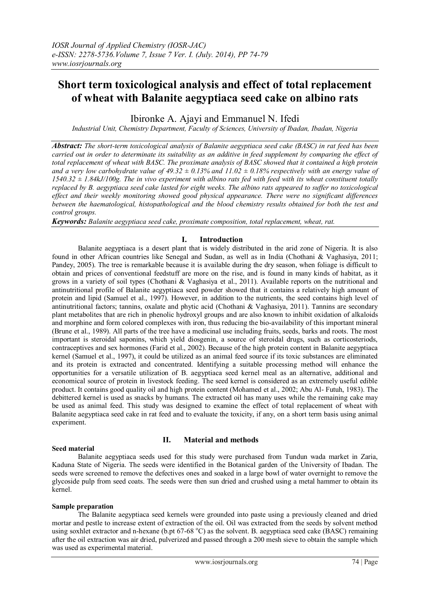# **Short term toxicological analysis and effect of total replacement of wheat with Balanite aegyptiaca seed cake on albino rats**

Ibironke A. Ajayi and Emmanuel N. Ifedi

*Industrial Unit, Chemistry Department, Faculty of Sciences, University of Ibadan, Ibadan, Nigeria*

*Abstract: The short-term toxicological analysis of Balanite aegyptiaca seed cake (BASC) in rat feed has been carried out in order to determinate its suitability as an additive in feed supplement by comparing the effect of total replacement of wheat with BASC. The proximate analysis of BASC showed that it contained a high protein*  and a very low carbohydrate value of  $49.32 \pm 0.13\%$  and  $11.02 \pm 0.18\%$  respectively with an energy value of *1540.32 ± 1.84kJ/100g. The in vivo experiment with albino rats fed with feed with its wheat constituent totally replaced by B. aegyptiaca seed cake lasted for eight weeks. The albino rats appeared to suffer no toxicological effect and their weekly monitoring showed good physical appearance. There were no significant differences between the haematological, histopathological and the blood chemistry results obtained for both the test and control groups.*

*Keywords: Balanite aegyptiaca seed cake, proximate composition, total replacement, wheat, rat.*

# **I. Introduction**

Balanite aegyptiaca is a desert plant that is widely distributed in the arid zone of Nigeria. It is also found in other African countries like Senegal and Sudan, as well as in India (Chothani & Vaghasiya, 2011; Pandey, 2005). The tree is remarkable because it is available during the dry season, when foliage is difficult to obtain and prices of conventional feedstuff are more on the rise, and is found in many kinds of habitat, as it grows in a variety of soil types (Chothani & Vaghasiya et al., 2011). Available reports on the nutritional and antinutritional profile of Balanite aegyptiaca seed powder showed that it contains a relatively high amount of protein and lipid (Samuel et al., 1997). However, in addition to the nutrients, the seed contains high level of antinutritional factors; tannins, oxalate and phytic acid (Chothani & Vaghasiya, 2011). Tannins are secondary plant metabolites that are rich in phenolic hydroxyl groups and are also known to inhibit oxidation of alkaloids and morphine and form colored complexes with iron, thus reducing the bio-availability of this important mineral (Brune et al., 1989). All parts of the tree have a medicinal use including fruits, seeds, barks and roots. The most important is steroidal saponins, which yield diosgenin, a source of steroidal drugs, such as corticosteriods, contraceptives and sex hormones (Farid et al., 2002). Because of the high protein content in Balanite aegyptiaca kernel (Samuel et al., 1997), it could be utilized as an animal feed source if its toxic substances are eliminated and its protein is extracted and concentrated. Identifying a suitable processing method will enhance the opportunities for a versatile utilization of B. aegyptiaca seed kernel meal as an alternative, additional and economical source of protein in livestock feeding. The seed kernel is considered as an extremely useful edible product. It contains good quality oil and high protein content (Mohamed et al., 2002; Abu Al- Futuh, 1983). The debittered kernel is used as snacks by humans. The extracted oil has many uses while the remaining cake may be used as animal feed. This study was designed to examine the effect of total replacement of wheat with Balanite aegyptiaca seed cake in rat feed and to evaluate the toxicity, if any, on a short term basis using animal experiment.

# **Seed material**

# **II. Material and methods**

Balanite aegyptiaca seeds used for this study were purchased from Tundun wada market in Zaria, Kaduna State of Nigeria. The seeds were identified in the Botanical garden of the University of Ibadan. The seeds were screened to remove the defectives ones and soaked in a large bowl of water overnight to remove the glycoside pulp from seed coats. The seeds were then sun dried and crushed using a metal hammer to obtain its kernel.

# **Sample preparation**

The Balanite aegyptiaca seed kernels were grounded into paste using a previously cleaned and dried mortar and pestle to increase extent of extraction of the oil. Oil was extracted from the seeds by solvent method using soxhlet extractor and n-hexane (b.pt 67-68  $^{\circ}$ C) as the solvent. B. aegyptiaca seed cake (BASC) remaining after the oil extraction was air dried, pulverized and passed through a 200 mesh sieve to obtain the sample which was used as experimental material.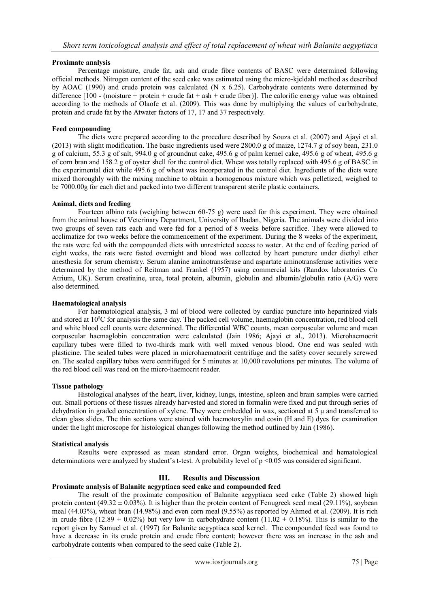# **Proximate analysis**

Percentage moisture, crude fat, ash and crude fibre contents of BASC were determined following official methods. Nitrogen content of the seed cake was estimated using the micro-kjeldahl method as described by AOAC (1990) and crude protein was calculated (N x 6.25). Carbohydrate contents were determined by difference  $[100 - (moisture + protein + crude fat + ash + crude fiber)]$ . The calorific energy value was obtained according to the methods of Olaofe et al. (2009). This was done by multiplying the values of carbohydrate, protein and crude fat by the Atwater factors of 17, 17 and 37 respectively.

# **Feed compounding**

The diets were prepared according to the procedure described by Souza et al. (2007) and Ajayi et al. (2013) with slight modification. The basic ingredients used were 2800.0 g of maize, 1274.7 g of soy bean, 231.0 g of calcium, 55.3 g of salt, 994.0 g of groundnut cake, 495.6 g of palm kernel cake, 495.6 g of wheat, 495.6 g of corn bran and 158.2 g of oyster shell for the control diet. Wheat was totally replaced with 495.6 g of BASC in the experimental diet while 495.6 g of wheat was incorporated in the control diet. Ingredients of the diets were mixed thoroughly with the mixing machine to obtain a homogenous mixture which was pelletized, weighed to be 7000.00g for each diet and packed into two different transparent sterile plastic containers.

# **Animal, diets and feeding**

Fourteen albino rats (weighing between 60-75 g) were used for this experiment. They were obtained from the animal house of Veterinary Department, University of Ibadan, Nigeria. The animals were divided into two groups of seven rats each and were fed for a period of 8 weeks before sacrifice. They were allowed to acclimatize for two weeks before the commencement of the experiment. During the 8 weeks of the experiment, the rats were fed with the compounded diets with unrestricted access to water. At the end of feeding period of eight weeks, the rats were fasted overnight and blood was collected by heart puncture under diethyl ether anesthesia for serum chemistry. Serum alanine aminotransferase and aspartate aminotransferase activities were determined by the method of Reitman and Frankel (1957) using commercial kits (Randox laboratories Co Atrium, UK). Serum creatinine, urea, total protein, albumin, globulin and albumin/globulin ratio (A/G) were also determined.

# **Haematological analysis**

For haematological analysis, 3 ml of blood were collected by cardiac puncture into heparinized vials and stored at 10<sup>o</sup>C for analysis the same day. The packed cell volume, haemaglobin concentration, red blood cell and white blood cell counts were determined. The differential WBC counts, mean corpuscular volume and mean corpuscular haemaglobin concentration were calculated (Jain 1986; Ajayi et al., 2013). Microhaemocrit capillary tubes were filled to two-thirds mark with well mixed venous blood. One end was sealed with plasticine. The sealed tubes were placed in microhaematocrit centrifuge and the safety cover securely screwed on. The sealed capillary tubes were centrifuged for 5 minutes at 10,000 revolutions per minutes. The volume of the red blood cell was read on the micro-haemocrit reader.

#### **Tissue pathology**

Histological analyses of the heart, liver, kidney, lungs, intestine, spleen and brain samples were carried out. Small portions of these tissues already harvested and stored in formalin were fixed and put through series of dehydration in graded concentration of xylene. They were embedded in wax, sectioned at 5  $\mu$  and transferred to clean glass slides. The thin sections were stained with haemotoxylin and eosin (H and E) dyes for examination under the light microscope for histological changes following the method outlined by Jain (1986).

#### **Statistical analysis**

Results were expressed as mean standard error. Organ weights, biochemical and hematological determinations were analyzed by student's t-test. A probability level of p <0.05 was considered significant.

# **III. Results and Discussion**

# **Proximate analysis of Balanite aegyptiaca seed cake and compounded feed**

The result of the proximate composition of Balanite aegyptiaca seed cake (Table 2) showed high protein content (49.32  $\pm$  0.03%). It is higher than the protein content of Fenugreek seed meal (29.11%), soybean meal (44.03%), wheat bran (14.98%) and even corn meal (9.55%) as reported by Ahmed et al. (2009). It is rich in crude fibre (12.89  $\pm$  0.02%) but very low in carbohydrate content (11.02  $\pm$  0.18%). This is similar to the report given by Samuel et al. (1997) for Balanite aegyptiaca seed kernel. The compounded feed was found to have a decrease in its crude protein and crude fibre content; however there was an increase in the ash and carbohydrate contents when compared to the seed cake (Table 2).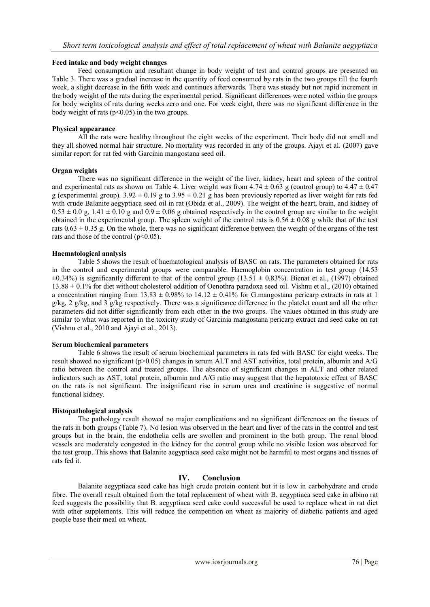# **Feed intake and body weight changes**

Feed consumption and resultant change in body weight of test and control groups are presented on Table 3. There was a gradual increase in the quantity of feed consumed by rats in the two groups till the fourth week, a slight decrease in the fifth week and continues afterwards. There was steady but not rapid increment in the body weight of the rats during the experimental period. Significant differences were noted within the groups for body weights of rats during weeks zero and one. For week eight, there was no significant difference in the body weight of rats ( $p<0.05$ ) in the two groups.

# **Physical appearance**

All the rats were healthy throughout the eight weeks of the experiment. Their body did not smell and they all showed normal hair structure. No mortality was recorded in any of the groups. Ajayi et al. (2007) gave similar report for rat fed with Garcinia mangostana seed oil.

# **Organ weights**

There was no significant difference in the weight of the liver, kidney, heart and spleen of the control and experimental rats as shown on Table 4. Liver weight was from  $4.74 \pm 0.63$  g (control group) to  $4.47 \pm 0.47$ g (experimental group).  $3.92 \pm 0.19$  g to  $3.95 \pm 0.21$  g has been previously reported as liver weight for rats fed with crude Balanite aegyptiaca seed oil in rat (Obida et al., 2009). The weight of the heart, brain, and kidney of  $0.53 \pm 0.0$  g,  $1.41 \pm 0.10$  g and  $0.9 \pm 0.06$  g obtained respectively in the control group are similar to the weight obtained in the experimental group. The spleen weight of the control rats is  $0.56 \pm 0.08$  g while that of the test rats  $0.63 \pm 0.35$  g. On the whole, there was no significant difference between the weight of the organs of the test rats and those of the control (p˂0.05).

# **Haematological analysis**

Table 5 shows the result of haematological analysis of BASC on rats. The parameters obtained for rats in the control and experimental groups were comparable. Haemoglobin concentration in test group (14.53  $\pm 0.34\%$ ) is significantly different to that of the control group (13.51  $\pm$  0.83%). Bienat et al., (1997) obtained 13.88 ± 0.1% for diet without cholesterol addition of Oenothra paradoxa seed oil. Vishnu et al., (2010) obtained a concentration ranging from  $13.83 \pm 0.98\%$  to  $14.12 \pm 0.41\%$  for G.mangostana pericarp extracts in rats at 1  $g/kg$ , 2  $g/kg$ , and 3  $g/kg$  respectively. There was a significance difference in the platelet count and all the other parameters did not differ significantly from each other in the two groups. The values obtained in this study are similar to what was reported in the toxicity study of Garcinia mangostana pericarp extract and seed cake on rat (Vishnu et al., 2010 and Ajayi et al., 2013).

#### **Serum biochemical parameters**

Table 6 shows the result of serum biochemical parameters in rats fed with BASC for eight weeks. The result showed no significant (p>0.05) changes in serum ALT and AST activities, total protein, albumin and A/G ratio between the control and treated groups. The absence of significant changes in ALT and other related indicators such as AST, total protein, albumin and A/G ratio may suggest that the hepatotoxic effect of BASC on the rats is not significant. The insignificant rise in serum urea and creatinine is suggestive of normal functional kidney.

# **Histopathological analysis**

The pathology result showed no major complications and no significant differences on the tissues of the rats in both groups (Table 7). No lesion was observed in the heart and liver of the rats in the control and test groups but in the brain, the endothelia cells are swollen and prominent in the both group. The renal blood vessels are moderately congested in the kidney for the control group while no visible lesion was observed for the test group. This shows that Balanite aegyptiaca seed cake might not be harmful to most organs and tissues of rats fed it.

# **IV. Conclusion**

Balanite aegyptiaca seed cake has high crude protein content but it is low in carbohydrate and crude fibre. The overall result obtained from the total replacement of wheat with B. aegyptiaca seed cake in albino rat feed suggests the possibility that B. aegyptiaca seed cake could successful be used to replace wheat in rat diet with other supplements. This will reduce the competition on wheat as majority of diabetic patients and aged people base their meal on wheat.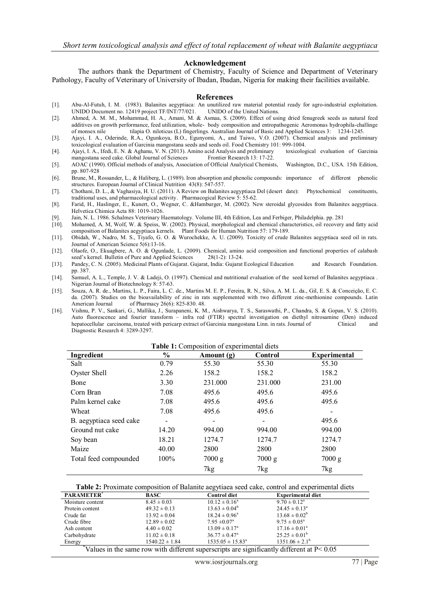# **Acknowledgement**

The authors thank the Department of Chemistry, Faculty of Science and Department of Veterinary Pathology, Faculty of Veterinary of University of Ibadan, Ibadan, Nigeria for making their facilities available.

#### **References**

- [1]. Abu-Al-Futuh, I. M. (1983). Balanites aegyptiaca: An unutilized raw material potential ready for agro-industrial exploitation. UNIDO Document no. 12419 project TF/INT/77/021.
- [2]. Ahmed, A. M. M., Mohammad, H. A., Amani, M. & Asmaa, S. (2009). Effect of using dried fenugreek seeds as natural feed additives on growth performance, feed utilization, whole- body composition and entropathogenic Aeromonas hydrophila-challinge of monsex nile tilapia O. niloticus (L) fingerlings. Australian Journal of Basic and Applied Sciences 3: 1234-1245.
- [3]. Ajayi, I. A., Oderinde, R.A., Ogunkoya, B.O., Egunyomi, A., and Taiwo, V.O. (2007). Chemical analysis and preliminary toxicological evaluation of Garcinia mangostana seeds and seeds oil. Food Chemistry 101: 999-1004.<br>Ajayi, I. A., Ifedi, E. N. & Aghanu, V. N. (2013). Amino acid Analysis and preliminary toxicological evaluation of Garcinia
- [4]. Ajayi, I. A., Ifedi, E. N. & Aghanu, V. N. (2013). Amino acid Analysis and preliminary mangostana seed cake. Global Journal of Sciences Frontier Research 13: 17-22.
- [5]. AOAC (1990). Official methods of analysis, Association of Official Analytical Chemists, Washington, D.C., USA. 15th Edition, pp. 807-928
- [6]. Brune, M., Rossander, L., & Haliberg, L. (1989). Iron absorption and phenolic compounds: importance of different phenolic structures. European Journal of Clinical Nutrition 43(8): 547-557.
- [7]. Chothani, D. L., & Vaghasiya, H. U. (2011). A Review on Balanites aegyptiaca Del (desert date): Phytochemical constituents, traditional uses, and pharmacological activity. Pharmacogical Review 5: 55-62.
- [8]. Farid, H., Haslinger, E., Kunert, O., Wegner, C. &Hamburger, M. (2002). New steroidal glycosides from Balanites aegyptiaca. Helvetica Chimica Acta 88: 1019-1026.
- [9]. Jain, N. L. 1986. Schalmes Veterinary Haematology. Volume III, 4th Edition, Lea and Ferbiger, Philadelphia. pp. 281
- [10]. Mohamed, A. M, Wolf, W. & Speiss, W. (2002). Physical, morphological and chemical characteristics, oil recovery and fatty acid composition of Balanites aegyptiaca kernels. Plant Foods for Human Nutrition 57: 179-189.
- [11]. Obidah, W., Nadro, M. S., Tiyafo, G. O. & Wurochekke, A. U. (2009). Toxicity of crude Balanites aegyptiaca seed oil in rats. Journal of American Science 5(6):13-16.
- [12]. Olaofe, O., Ekuagbere, A. O. & Ogunlade, L. (2009). Chemical, amino acid composition and functional properties of calabash seed's kernel. Bulletin of Pure and Applied Sciences
- [13]. Pandey, C. N. (2005). Medicinal Plants of Gujarat. Gujarat, India: Gujarat Ecological Education and Research Foundation. pp. 387.
- [14]. Samuel, A. L., Temple, J. V. & Ladeji, O. (1997). Chemical and nutritional evaluation of the seed kernel of Balanites aegyptiaca . Nigerian Journal of Biotechnology 8: 57-63.
- [15]. Souza, A. R. de., Martins, L. P., Faira, L. C. de., Martins M. E. P., Fereira, R. N., Silva, A. M. L. da., Gil, E. S. & Conceição, E. C. da. (2007). Studies on the bioavailability of zinc in rats supplemented with two different zinc-methionine compounds. Latin American Journal of Pharmacy 26(6): 825-830. 48. of Pharmacy  $26(6)$ : 825-830. 48.
- [16]. Vishnu, P. V., Sankari, G., Mallika, J., Surapaneni, K. M., Aishwarya, T. S., Saraswathi, P., Chandra, S. & Gopan, V. S. (2010). Auto fluorescence and fourier transform – infra red (FTIR) spectral investigation on diethyl nitrosamine (Den) induced hepatocellular carcinoma, treated with pericarp extract of Garcinia mangostana Linn. in rats. Journal of Clinical and Diagnostic Research 4: 3289-3297.

| Table 1: Composition of experimental diets |                          |            |                |                     |
|--------------------------------------------|--------------------------|------------|----------------|---------------------|
| Ingredient                                 | $\frac{6}{10}$           | Amount (g) | <b>Control</b> | <b>Experimental</b> |
| Salt                                       | 0.79                     | 55.30      | 55.30          | 55.30               |
| Oyster Shell                               | 2.26                     | 158.2      | 158.2          | 158.2               |
| Bone                                       | 3.30                     | 231.000    | 231.000        | 231.00              |
| Corn Bran                                  | 7.08                     | 495.6      | 495.6          | 495.6               |
| Palm kernel cake                           | 7.08                     | 495.6      | 495.6          | 495.6               |
| Wheat                                      | 7.08                     | 495.6      | 495.6          |                     |
| B. aegyptiaca seed cake                    | $\overline{\phantom{0}}$ |            | -              | 495.6               |
| Ground nut cake                            | 14.20                    | 994.00     | 994.00         | 994.00              |
| Soy bean                                   | 18.21                    | 1274.7     | 1274.7         | 1274.7              |
| Maize                                      | 40.00                    | 2800       | 2800           | 2800                |
| Total feed compounded                      | 100%                     | 7000 g     | $7000$ g       | $7000$ g            |
|                                            |                          | 7kg        | 7kg            | 7kg                 |

| <b>PARAMETER</b>                                                                             | BASC               | <b>Control diet</b>          | <b>Experimental diet</b>   |
|----------------------------------------------------------------------------------------------|--------------------|------------------------------|----------------------------|
| Moisture content                                                                             | $8.45 \pm 0.03$    | $10.12 \pm 0.16^a$           | $9.70 \pm 0.12^{\text{a}}$ |
| Protein content                                                                              | $49.32 \pm 0.13$   | $13.63 \pm 0.04^b$           | $24.45 \pm 0.13^a$         |
| Crude fat                                                                                    | $13.92 \pm 0.04$   | $18.24 \pm 0.96^a$           | $13.68 \pm 0.02^b$         |
| Crude fibre                                                                                  | $12.89 \pm 0.02$   | $7.95 \pm 0.07$ <sup>a</sup> | $9.75 \pm 0.05^{\circ}$    |
| Ash content                                                                                  | $4.40 \pm 0.02$    | $13.09 \pm 0.17^{\circ}$     | $17.16 \pm 0.01^{\circ}$   |
| Carbohydrate                                                                                 | $11.02 \pm 0.18$   | $36.77 \pm 0.47^{\circ}$     | $25.25 \pm 0.01^{\circ}$   |
| Energy                                                                                       | $1540.22 \pm 1.84$ | $1535.05 \pm 15.83^a$        | $1351.06 \pm 2.1^{\rm b}$  |
| Values in the same row with different superscripts are significantly different at $P < 0.05$ |                    |                              |                            |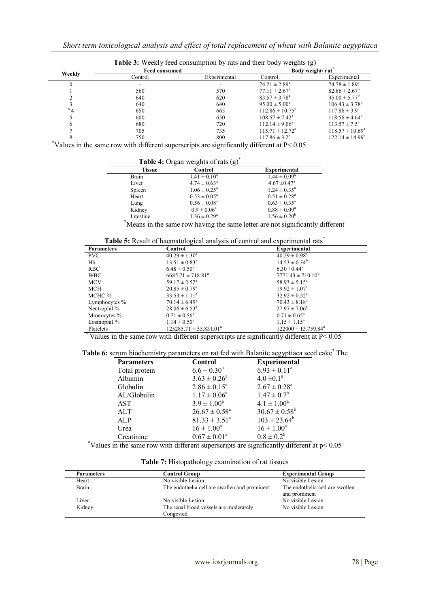| <b>Table 3:</b> Weekly feed consumption by rats and their body weights (g) |  |  |
|----------------------------------------------------------------------------|--|--|
|                                                                            |  |  |

|          | <b>Feed consumed</b> |              |                               | Body weight/rat <sup>"</sup> |
|----------|----------------------|--------------|-------------------------------|------------------------------|
| Weekly   | Control              | Experimental | Control                       | Experimental                 |
|          |                      |              | $74.21 \pm 2.89^{\circ}$      | $74.78 \pm 1.89^{\rm a}$     |
|          | 560                  | 570          | $77.11 \pm 2.67^{\circ}$      | $82.86 \pm 2.67^{\circ}$     |
|          | 640                  | 620          | $83.57 \pm 3.78^{\circ}$      | $95.00 \pm 5.77^b$           |
|          | 640                  | 640          | $95.00 \pm 5.00^{\circ}$      | $106.43 \pm 3.78^b$          |
| $^{b}$ 4 | 650                  | 665          | $112.86 \pm 10.75^{\circ}$    | $117.86 \pm 3.9^{\circ}$     |
|          | 600                  | 650          | $108.57 \pm 7.42^{\circ}$     | $118.56 \pm 4.64^{\circ}$    |
|          | 680                  | 720          | $112.14 \pm 9.06^{\circ}$     | $113.57 \pm 7.5^{\circ}$     |
|          | 705                  | 735          | $115.71 \pm 12.72^{\text{a}}$ | $118.57 \pm 10.69^{\circ}$   |
|          | 750                  | 800          | $117.86 \pm 3.2^{\circ}$      | $122.14 \pm 14.99^a$         |

**\***Values in the same row with different superscripts are significantly different at P< 0.05

**Table 4:** Organ weights of rats (g)<sup>\*</sup>

| 10                   |                            |                                                      |
|----------------------|----------------------------|------------------------------------------------------|
| <b>Tissue</b>        | Control                    | <b>Experimental</b>                                  |
| Brain                | $1.41 \pm 0.10^a$          | $1.44 \pm 0.09^a$                                    |
| Liver                | $4.74 \pm 0.63^{\circ}$    | $4.67 \pm 0.47$ <sup>a</sup>                         |
| Spleen               | $1.06 \pm 0.25^{\text{a}}$ | $1.24 \pm 0.35^{\text{a}}$                           |
| Heart                | $0.53 \pm 0.05^{\text{a}}$ | $0.51 \pm 0.28^a$                                    |
| Lung                 | $0.56 \pm 0.08^a$          | $0.63 \pm 0.35^{\circ}$                              |
| Kidney               | $0.9 \pm 0.06^a$           | $0.88 \pm 0.09^a$                                    |
| Intestine            | $1.36 \pm 0.29^{\circ}$    | $1.56 \pm 0.20^b$                                    |
| $*$<br>$\sim$ $\sim$ | $\blacksquare$             | $\cdot$ $\sim$<br>1.7<br>$\blacksquare$<br>$\cdot$ 1 |

**\***Means in the same row having the same letter are not significantly different

**Table 5:** Result of haematological analysis of control and experimental rats<sup>\*</sup>

| <b>Parameters</b> | Twore or recourt of inversive regions mini-join of control and cap<br>Control | <b>Experimental</b>          |
|-------------------|-------------------------------------------------------------------------------|------------------------------|
|                   |                                                                               |                              |
| PVC               | $40.29 \pm 1.30^a$                                                            | $40.29 \pm 0.98^{\text{a}}$  |
| Hb                | $13.51 \pm 0.83^{\circ}$                                                      | $14.53 \pm 0.34^b$           |
| <b>RBC</b>        | $6.48 \pm 0.50^a$                                                             | $6.30 \pm 0.44$ <sup>a</sup> |
| <b>WBC</b>        | $6685.71 \pm 718.81^a$                                                        | $7771.43 \pm 710.10^b$       |
| <b>MCV</b>        | $59.17 \pm 2.52^{\text{a}}$                                                   | $58.93 \pm 5.15^a$           |
| <b>MCH</b>        | $20.85 \pm 0.79^{\circ}$                                                      | $19.92 \pm 1.07^{\circ}$     |
| MCHC %            | $33.53 \pm 1.11^a$                                                            | $32.92 \pm 0.52^{\circ}$     |
| Lymphocytes %     | $70.14 \pm 6.49^{\circ}$                                                      | $70.43 \pm 8.18^{\circ}$     |
| Neutrophil %      | $28.06 \pm 6.53^{\circ}$                                                      | $27.97 \pm 7.06^{\circ}$     |
| Mionocytes %      | $0.71 \pm 0.56^{\circ}$                                                       | $0.71 \pm 0.65^{\text{a}}$   |
| Eosinophil %      | $1.14 \pm 0.50^{\circ}$                                                       | $1.15 \pm 1.15^{\circ}$      |
| Platelets         | $125285.71 \pm 35.831.01^a$                                                   | $122000 \pm 13.759.84^a$     |
|                   |                                                                               |                              |

\* Values in the same row with different superscripts are significantly different at P< 0.05

# Table 6: serum biochemistry parameters on rat fed with Balanite aegyptiaca seed cake<sup>\*</sup> The

| <b>Parameters</b> | Control            | <b>Experimental</b> |
|-------------------|--------------------|---------------------|
| Total protein     | $6.6 \pm 0.30^a$   | $6.93 \pm 0.11^a$   |
| Albumin           | $3.63 \pm 0.26^a$  | $4.0 \pm 0.1^a$     |
| Globulin          | $2.86 \pm 0.15^a$  | $2.67 \pm 0.28^a$   |
| AL/Globulin       | $1.17 \pm 0.06^a$  | $1.47 \pm 0.7^b$    |
| <b>AST</b>        | $3.9 \pm 1.00^a$   | $4.1 \pm 1.00^a$    |
| <b>ALT</b>        | $26.67 \pm 0.58^a$ | $30.67 \pm 0.58^b$  |
| ALP               | $81.33 \pm 3.51^a$ | $103 \pm 23.64^b$   |
| Urea              | $16 \pm 1.00^a$    | $16 \pm 1.00^a$     |
| Creatinine        | $0.67 \pm 0.01^a$  | $0.8 \pm 0.2^b$     |

\*Values in the same row with different superscripts are significantly different at p< 0.05

**Table 7:** Histopathology examination of rat tissues

| <b>Parameters</b> | Control Group                                 | <b>Experimental Group</b>                        |
|-------------------|-----------------------------------------------|--------------------------------------------------|
| Heart             | No visible Lesion                             | No visible Lesion                                |
| Brain             | The endothelia cell are swollen and prominent | The endothelia cell are swollen<br>and prominent |
| Liver             | No visible Lesion                             | No visible Lesion                                |
| Kidney            | The renal blood vessels are moderately        | No visible Lesion                                |
|                   | Congested.                                    |                                                  |